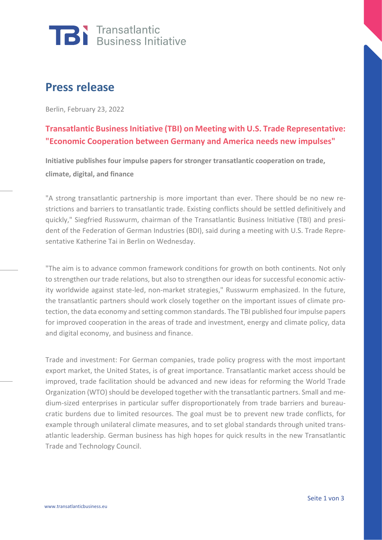

## **Press release**

Berlin, February 23, 2022

## **Transatlantic Business Initiative (TBI) on Meeting with U.S. Trade Representative: "Economic Cooperation between Germany and America needs new impulses"**

**Initiative publishes four impulse papers for stronger transatlantic cooperation on trade, climate, digital, and finance**

"A strong transatlantic partnership is more important than ever. There should be no new restrictions and barriers to transatlantic trade. Existing conflicts should be settled definitively and quickly," Siegfried Russwurm, chairman of the Transatlantic Business Initiative (TBI) and president of the Federation of German Industries (BDI), said during a meeting with U.S. Trade Representative Katherine Tai in Berlin on Wednesday.

"The aim is to advance common framework conditions for growth on both continents. Not only to strengthen our trade relations, but also to strengthen our ideas for successful economic activity worldwide against state-led, non-market strategies," Russwurm emphasized. In the future, the transatlantic partners should work closely together on the important issues of climate protection, the data economy and setting common standards. The TBI published four impulse papers for improved cooperation in the areas of trade and investment, energy and climate policy, data and digital economy, and business and finance.

Trade and investment: For German companies, trade policy progress with the most important export market, the United States, is of great importance. Transatlantic market access should be improved, trade facilitation should be advanced and new ideas for reforming the World Trade Organization (WTO) should be developed together with the transatlantic partners. Small and medium-sized enterprises in particular suffer disproportionately from trade barriers and bureaucratic burdens due to limited resources. The goal must be to prevent new trade conflicts, for example through unilateral climate measures, and to set global standards through united transatlantic leadership. German business has high hopes for quick results in the new Transatlantic Trade and Technology Council.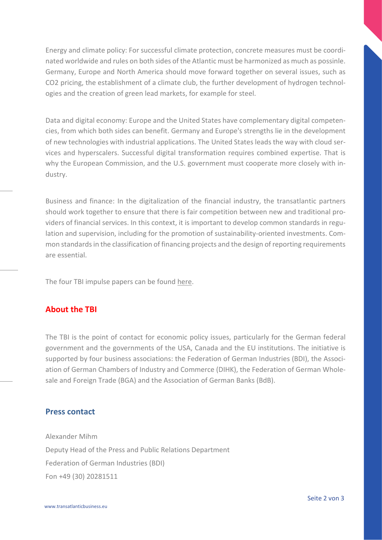Energy and climate policy: For successful climate protection, concrete measures must be coordinated worldwide and rules on both sides of the Atlantic must be harmonized as much as possinle. Germany, Europe and North America should move forward together on several issues, such as CO2 pricing, the establishment of a climate club, the further development of hydrogen technologies and the creation of green lead markets, for example for steel.

Data and digital economy: Europe and the United States have complementary digital competencies, from which both sides can benefit. Germany and Europe's strengths lie in the development of new technologies with industrial applications. The United States leads the way with cloud services and hyperscalers. Successful digital transformation requires combined expertise. That is why the European Commission, and the U.S. government must cooperate more closely with industry.

Business and finance: In the digitalization of the financial industry, the transatlantic partners should work together to ensure that there is fair competition between new and traditional providers of financial services. In this context, it is important to develop common standards in regulation and supervision, including for the promotion of sustainability-oriented investments. Common standards in the classification of financing projects and the design of reporting requirements are essential.

The four TBI impulse papers can be found [here.](https://transatlanticbusiness.eu/en/publikationen/)

## **About the TBI**

The TBI is the point of contact for economic policy issues, particularly for the German federal government and the governments of the USA, Canada and the EU institutions. The initiative is supported by four business associations: the Federation of German Industries (BDI), the Association of German Chambers of Industry and Commerce (DIHK), the Federation of German Wholesale and Foreign Trade (BGA) and the Association of German Banks (BdB).

## **Press contact**

Alexander Mihm Deputy Head of the Press and Public Relations Department Federation of German Industries (BDI) Fon +49 (30) 20281511